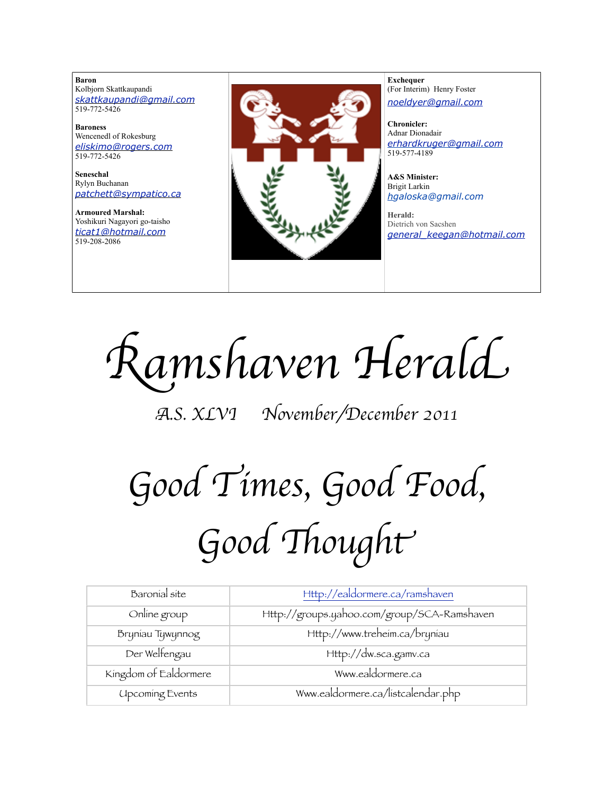**Baron**  Kolbjorn Skattkaupandi *[skattkaupandi@gmail.com](mailto:skattkaupandi@gmail.com)* 519-772-5426

**Baroness** Wencenedl of Rokesburg *[eliskimo@rogers.com](mailto:eliskimo@rogers.com)* 519-772-5426

**Seneschal** Rylyn Buchanan *[patchett@sympatico.ca](mailto:patchett@sympatico.ca)*

**Armoured Marshal:** Yoshikuri Nagayori go-taisho *[ticat1@hotmail.com](mailto:ticat1@hotmail.com)* 519-208-2086



**Exchequer** (For Interim) Henry Foster *[noeldyer@gmail.com](mailto:noeldyer@gmail.com)*

**Chronicler:** Adnar Dionadair *[erhardkruger@gmail.com](mailto:erhardkruger@gmail.com)* 519-577-4189

**A&S Minister:** Brigit Larkin *hgaloska@gmail.com*

**Herald:** Dietrich von Sacshen *[general\\_keegan@hotmail.com](mailto:general_keegan@hotmail.com)*

R*amshaven Heral*d

A*.S. XLVI November/December 2011*

# G*ood Times, Good Food,* G*ood* %*ough*t

| Baronial site          | Http://ealdormere.ca/ramshaven              |
|------------------------|---------------------------------------------|
| Online group           | Http://groups.yahoo.com/group/SCA-Ramshaven |
| Bryniau Tywynnog       | Http://www.treheim.ca/bryniau               |
| Der Welfengau          | Http://dw.sca.gamv.ca                       |
| Kingdom of Ealdormere  | Www.ealdormere.ca                           |
| <b>Upcoming Events</b> | Www.ealdormere.ca/listcalendar.php          |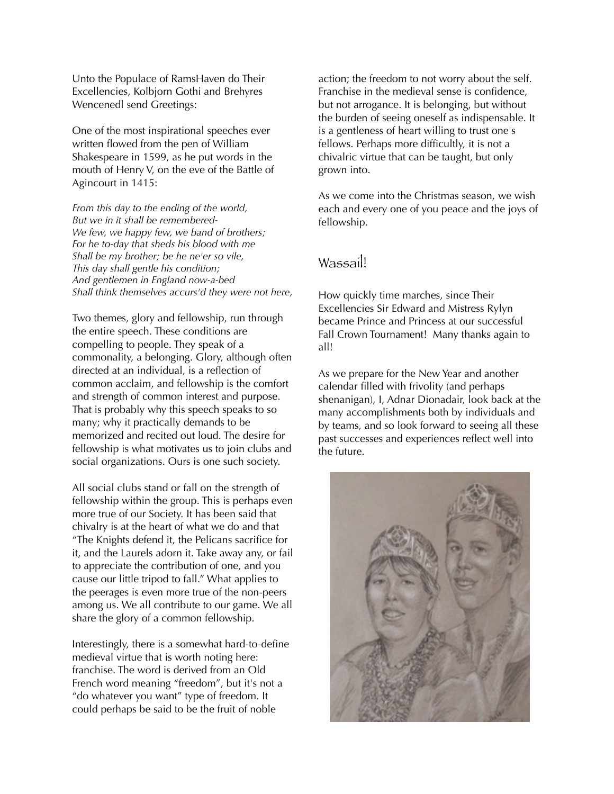Unto the Populace of RamsHaven do Their Excellencies, Kolbjorn Gothi and Brehyres Wencenedl send Greetings:

One of the most inspirational speeches ever written flowed from the pen of William Shakespeare in 1599, as he put words in the mouth of Henry V, on the eve of the Battle of Agincourt in 1415:

*From this day to the ending of the world, But we in it shall be remembered-We few, we happy few, we band of brothers; For he to-day that sheds his blood with me Shall be my brother; be he ne'er so vile, This day shall gentle his condition; And gentlemen in England now-a-bed Shall think themselves accurs'd they were not here,*

Two themes, glory and fellowship, run through the entire speech. These conditions are compelling to people. They speak of a commonality, a belonging. Glory, although often directed at an individual, is a reflection of common acclaim, and fellowship is the comfort and strength of common interest and purpose. That is probably why this speech speaks to so many; why it practically demands to be memorized and recited out loud. The desire for fellowship is what motivates us to join clubs and social organizations. Ours is one such society.

All social clubs stand or fall on the strength of fellowship within the group. This is perhaps even more true of our Society. It has been said that chivalry is at the heart of what we do and that "The Knights defend it, the Pelicans sacrifice for it, and the Laurels adorn it. Take away any, or fail to appreciate the contribution of one, and you cause our little tripod to fall." What applies to the peerages is even more true of the non-peers among us. We all contribute to our game. We all share the glory of a common fellowship.

Interestingly, there is a somewhat hard-to-define medieval virtue that is worth noting here: franchise. The word is derived from an Old French word meaning "freedom", but it's not a "do whatever you want" type of freedom. It could perhaps be said to be the fruit of noble

action; the freedom to not worry about the self. Franchise in the medieval sense is confidence, but not arrogance. It is belonging, but without the burden of seeing oneself as indispensable. It is a gentleness of heart willing to trust one's fellows. Perhaps more difficultly, it is not a chivalric virtue that can be taught, but only grown into.

As we come into the Christmas season, we wish each and every one of you peace and the joys of fellowship.

## Wassail!

How quickly time marches, since Their Excellencies Sir Edward and Mistress Rylyn became Prince and Princess at our successful Fall Crown Tournament! Many thanks again to all!

As we prepare for the New Year and another calendar filled with frivolity (and perhaps shenanigan), I, Adnar Dionadair, look back at the many accomplishments both by individuals and by teams, and so look forward to seeing all these past successes and experiences reflect well into the future.

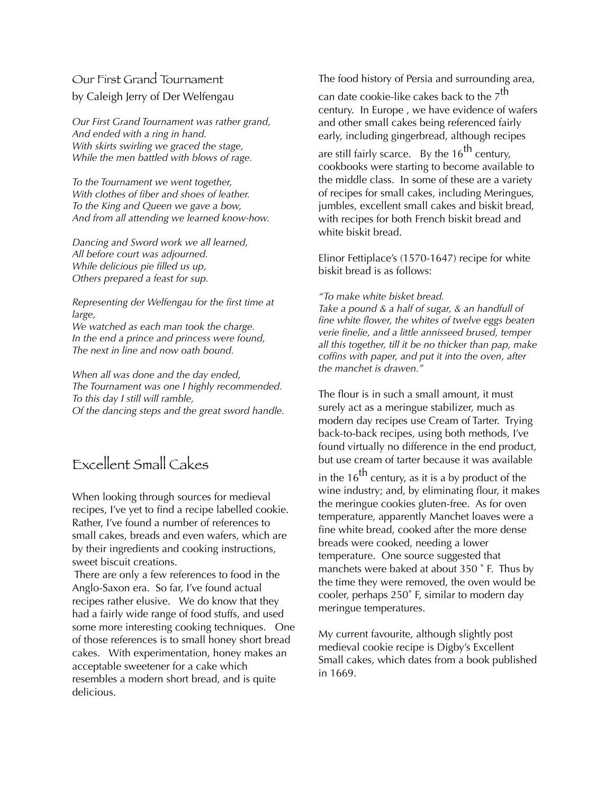## Our First Grand Tournament by Caleigh Jerry of Der Welfengau

*Our First Grand Tournament was rather grand, And ended with a ring in hand. With skirts swirling we graced the stage, While the men battled with blows of rage.*

*To the Tournament we went together, With clothes of fiber and shoes of leather. To the King and Queen we gave a bow, And from all attending we learned know-how.*

*Dancing and Sword work we all learned, All before court was adjourned. While delicious pie filled us up, Others prepared a feast for sup.*

*Representing der Welfengau for the first time at large,*

*We watched as each man took the charge. In the end a prince and princess were found, The next in line and now oath bound.* 

*When all was done and the day ended, The Tournament was one I highly recommended. To this day I still will ramble, Of the dancing steps and the great sword handle.* 

# Excellent Small Cakes

When looking through sources for medieval recipes, I've yet to find a recipe labelled cookie. Rather, I've found a number of references to small cakes, breads and even wafers, which are by their ingredients and cooking instructions, sweet biscuit creations.

 There are only a few references to food in the Anglo-Saxon era. So far, I've found actual recipes rather elusive. We do know that they had a fairly wide range of food stuffs, and used some more interesting cooking techniques. One of those references is to small honey short bread cakes. With experimentation, honey makes an acceptable sweetener for a cake which resembles a modern short bread, and is quite delicious.

The food history of Persia and surrounding area,

can date cookie-like cakes back to the  $7<sup>th</sup>$ century. In Europe , we have evidence of wafers and other small cakes being referenced fairly early, including gingerbread, although recipes

are still fairly scarce. By the  $16^{th}$  century, cookbooks were starting to become available to the middle class. In some of these are a variety of recipes for small cakes, including Meringues, jumbles, excellent small cakes and biskit bread, with recipes for both French biskit bread and white biskit bread.

Elinor Fettiplace's (1570-1647) recipe for white biskit bread is as follows:

## *"To make white bisket bread.*

*Take a pound & a half of sugar, & an handfull of fine white flower, the whites of twelve eggs beaten verie finelie, and a little annisseed brused, temper all this together, till it be no thicker than pap, make coffins with paper, and put it into the oven, after the manchet is drawen."*

The flour is in such a small amount, it must surely act as a meringue stabilizer, much as modern day recipes use Cream of Tarter. Trying back-to-back recipes, using both methods, I've found virtually no difference in the end product, but use cream of tarter because it was available

in the  $16^{th}$  century, as it is a by product of the wine industry; and, by eliminating flour, it makes the meringue cookies gluten-free. As for oven temperature, apparently Manchet loaves were a fine white bread, cooked after the more dense breads were cooked, needing a lower temperature. One source suggested that manchets were baked at about 350 ˚ F. Thus by the time they were removed, the oven would be cooler, perhaps 250˚ F, similar to modern day meringue temperatures.

My current favourite, although slightly post medieval cookie recipe is Digby's Excellent Small cakes, which dates from a book published in 1669.